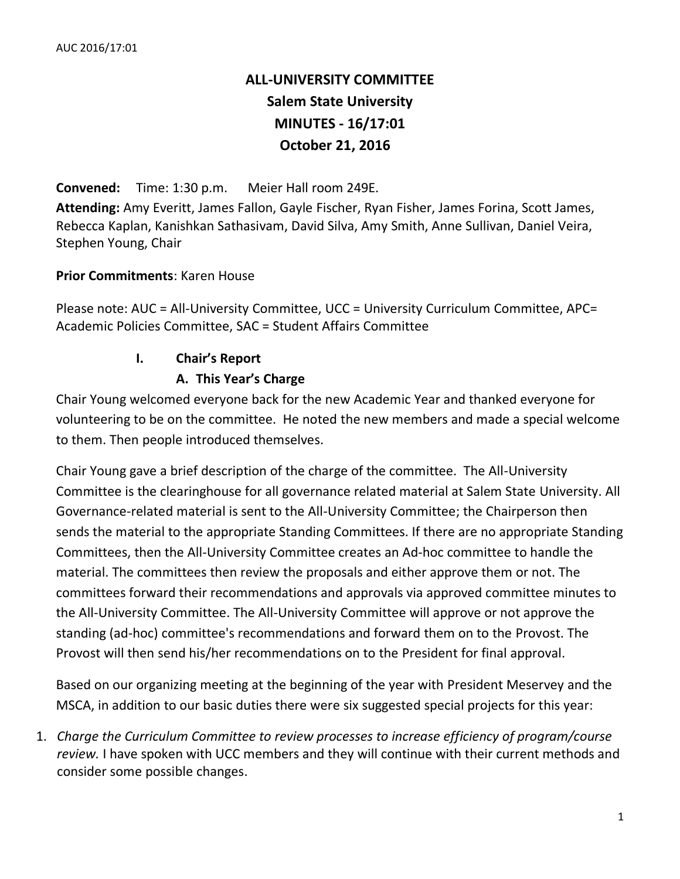# **ALL-UNIVERSITY COMMITTEE Salem State University MINUTES - 16/17:01 October 21, 2016**

**Convened:** Time: 1:30 p.m. Meier Hall room 249E.

**Attending:** Amy Everitt, James Fallon, Gayle Fischer, Ryan Fisher, James Forina, Scott James, Rebecca Kaplan, Kanishkan Sathasivam, David Silva, Amy Smith, Anne Sullivan, Daniel Veira, Stephen Young, Chair

#### **Prior Commitments**: Karen House

Please note: AUC = All-University Committee, UCC = University Curriculum Committee, APC= Academic Policies Committee, SAC = Student Affairs Committee

### **I. Chair's Report**

### **A. This Year's Charge**

Chair Young welcomed everyone back for the new Academic Year and thanked everyone for volunteering to be on the committee. He noted the new members and made a special welcome to them. Then people introduced themselves.

Chair Young gave a brief description of the charge of the committee. The All-University Committee is the clearinghouse for all governance related material at Salem State University. All Governance-related material is sent to the All-University Committee; the Chairperson then sends the material to the appropriate Standing Committees. If there are no appropriate Standing Committees, then the All-University Committee creates an Ad-hoc committee to handle the material. The committees then review the proposals and either approve them or not. The committees forward their recommendations and approvals via approved committee minutes to the All-University Committee. The All-University Committee will approve or not approve the standing (ad-hoc) committee's recommendations and forward them on to the Provost. The Provost will then send his/her recommendations on to the President for final approval.

Based on our organizing meeting at the beginning of the year with President Meservey and the MSCA, in addition to our basic duties there were six suggested special projects for this year:

1. *Charge the Curriculum Committee to review processes to increase efficiency of program/course review.* I have spoken with UCC members and they will continue with their current methods and consider some possible changes.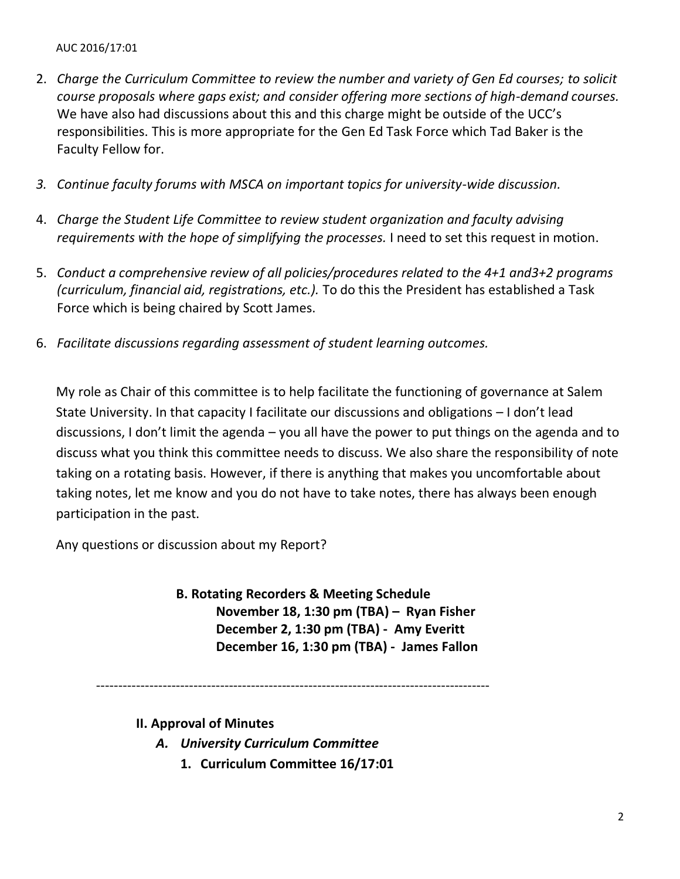- 2. *Charge the Curriculum Committee to review the number and variety of Gen Ed courses; to solicit course proposals where gaps exist; and consider offering more sections of high-demand courses.* We have also had discussions about this and this charge might be outside of the UCC's responsibilities. This is more appropriate for the Gen Ed Task Force which Tad Baker is the Faculty Fellow for.
- *3. Continue faculty forums with MSCA on important topics for university-wide discussion.*
- 4. *Charge the Student Life Committee to review student organization and faculty advising requirements with the hope of simplifying the processes.* I need to set this request in motion.
- 5. *Conduct a comprehensive review of all policies/procedures related to the 4+1 and3+2 programs (curriculum, financial aid, registrations, etc.).* To do this the President has established a Task Force which is being chaired by Scott James.
- 6. *Facilitate discussions regarding assessment of student learning outcomes.*

My role as Chair of this committee is to help facilitate the functioning of governance at Salem State University. In that capacity I facilitate our discussions and obligations – I don't lead discussions, I don't limit the agenda – you all have the power to put things on the agenda and to discuss what you think this committee needs to discuss. We also share the responsibility of note taking on a rotating basis. However, if there is anything that makes you uncomfortable about taking notes, let me know and you do not have to take notes, there has always been enough participation in the past.

Any questions or discussion about my Report?

**B. Rotating Recorders & Meeting Schedule November 18, 1:30 pm (TBA) – Ryan Fisher December 2, 1:30 pm (TBA) - Amy Everitt December 16, 1:30 pm (TBA) - James Fallon**

-----------------------------------------------------------------------------------------

**II. Approval of Minutes**

- *A. University Curriculum Committee*
	- **1. Curriculum Committee 16/17:01**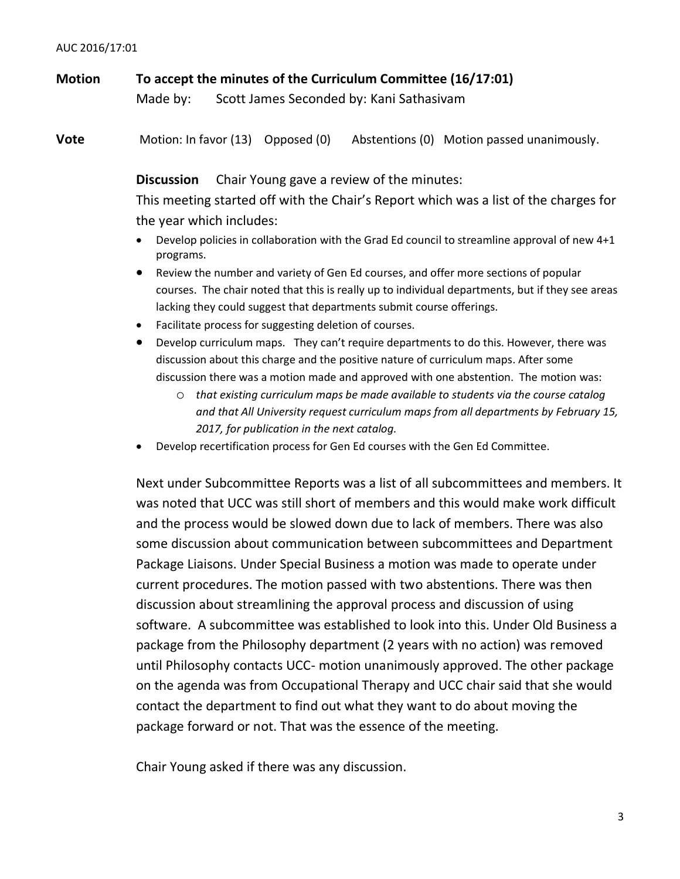**Motion To accept the minutes of the Curriculum Committee (16/17:01)** Made by: Scott James Seconded by: Kani Sathasivam

**Vote** Motion: In favor (13) Opposed (0) Abstentions (0) Motion passed unanimously.

**Discussion** Chair Young gave a review of the minutes:

This meeting started off with the Chair's Report which was a list of the charges for the year which includes:

- Develop policies in collaboration with the Grad Ed council to streamline approval of new 4+1 programs.
- Review the number and variety of Gen Ed courses, and offer more sections of popular courses. The chair noted that this is really up to individual departments, but if they see areas lacking they could suggest that departments submit course offerings.
- Facilitate process for suggesting deletion of courses.
- Develop curriculum maps. They can't require departments to do this. However, there was discussion about this charge and the positive nature of curriculum maps. After some discussion there was a motion made and approved with one abstention. The motion was:
	- o *that existing curriculum maps be made available to students via the course catalog and that All University request curriculum maps from all departments by February 15, 2017, for publication in the next catalog.*
- Develop recertification process for Gen Ed courses with the Gen Ed Committee.

Next under Subcommittee Reports was a list of all subcommittees and members. It was noted that UCC was still short of members and this would make work difficult and the process would be slowed down due to lack of members. There was also some discussion about communication between subcommittees and Department Package Liaisons. Under Special Business a motion was made to operate under current procedures. The motion passed with two abstentions. There was then discussion about streamlining the approval process and discussion of using software. A subcommittee was established to look into this. Under Old Business a package from the Philosophy department (2 years with no action) was removed until Philosophy contacts UCC- motion unanimously approved. The other package on the agenda was from Occupational Therapy and UCC chair said that she would contact the department to find out what they want to do about moving the package forward or not. That was the essence of the meeting.

Chair Young asked if there was any discussion.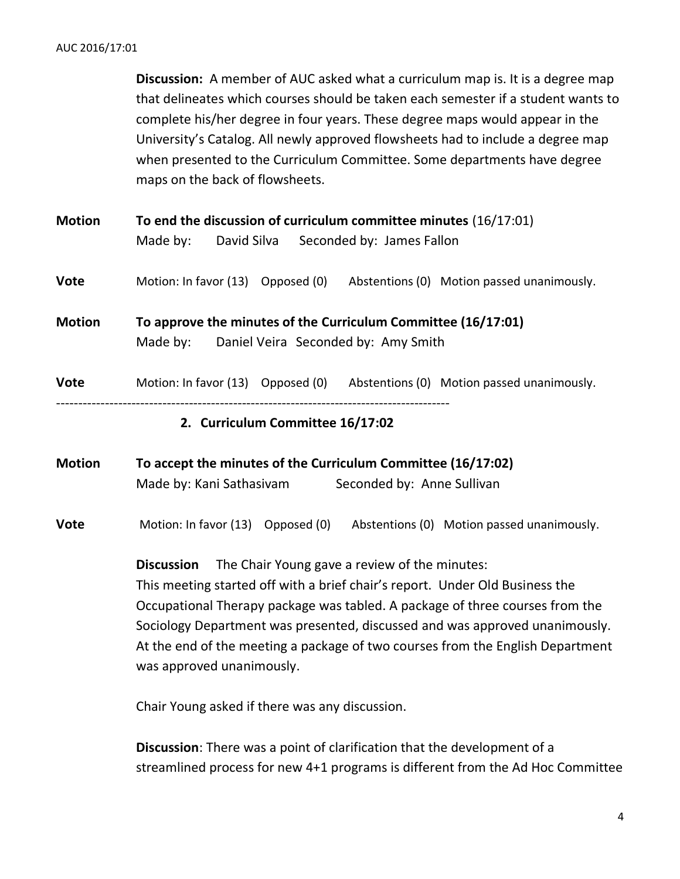**Discussion:** A member of AUC asked what a curriculum map is. It is a degree map that delineates which courses should be taken each semester if a student wants to complete his/her degree in four years. These degree maps would appear in the University's Catalog. All newly approved flowsheets had to include a degree map when presented to the Curriculum Committee. Some departments have degree maps on the back of flowsheets.

**Motion To end the discussion of curriculum committee minutes** (16/17:01) Made by: David Silva Seconded by: James Fallon

**Vote** Motion: In favor (13) Opposed (0) Abstentions (0) Motion passed unanimously.

**Motion To approve the minutes of the Curriculum Committee (16/17:01)** Made by: Daniel Veira Seconded by: Amy Smith

**Vote** Motion: In favor (13) Opposed (0) Abstentions (0) Motion passed unanimously.

-----------------------------------------------------------------------------------------

#### **2. Curriculum Committee 16/17:02**

**Motion To accept the minutes of the Curriculum Committee (16/17:02)** Made by: Kani Sathasivam Seconded by: Anne Sullivan

**Vote** Motion: In favor (13) Opposed (0) Abstentions (0) Motion passed unanimously.

**Discussion** The Chair Young gave a review of the minutes: This meeting started off with a brief chair's report. Under Old Business the Occupational Therapy package was tabled. A package of three courses from the Sociology Department was presented, discussed and was approved unanimously. At the end of the meeting a package of two courses from the English Department was approved unanimously.

Chair Young asked if there was any discussion.

**Discussion**: There was a point of clarification that the development of a streamlined process for new 4+1 programs is different from the Ad Hoc Committee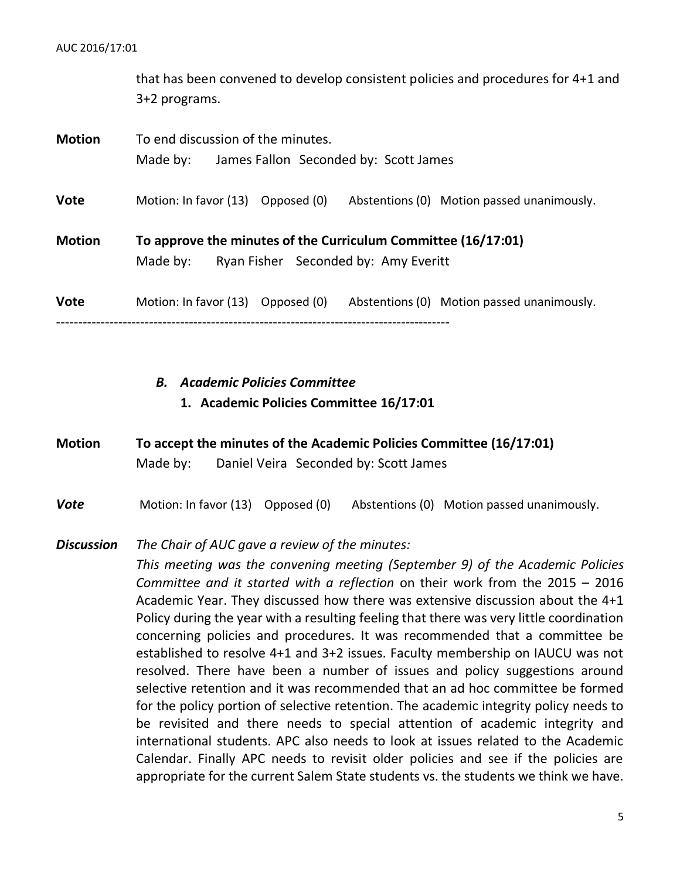that has been convened to develop consistent policies and procedures for 4+1 and 3+2 programs.

| <b>Motion</b> | To end discussion of the minutes.<br>James Fallon Seconded by: Scott James<br>Made by:                            |
|---------------|-------------------------------------------------------------------------------------------------------------------|
| <b>Vote</b>   | Motion: In favor (13) Opposed (0)<br>Abstentions (0) Motion passed unanimously.                                   |
| <b>Motion</b> | To approve the minutes of the Curriculum Committee (16/17:01)<br>Ryan Fisher Seconded by: Amy Everitt<br>Made by: |
| <b>Vote</b>   | Motion: In favor (13) Opposed (0)<br>Abstentions (0) Motion passed unanimously.                                   |

# *B. Academic Policies Committee*

#### **1. Academic Policies Committee 16/17:01**

## **Motion To accept the minutes of the Academic Policies Committee (16/17:01)** Made by: Daniel Veira Seconded by: Scott James

**Vote** Motion: In favor (13) Opposed (0) Abstentions (0) Motion passed unanimously.

#### *Discussion The Chair of AUC gave a review of the minutes:*

*This meeting was the convening meeting (September 9) of the Academic Policies Committee and it started with a reflection* on their work from the 2015 – 2016 Academic Year. They discussed how there was extensive discussion about the 4+1 Policy during the year with a resulting feeling that there was very little coordination concerning policies and procedures. It was recommended that a committee be established to resolve 4+1 and 3+2 issues. Faculty membership on IAUCU was not resolved. There have been a number of issues and policy suggestions around selective retention and it was recommended that an ad hoc committee be formed for the policy portion of selective retention. The academic integrity policy needs to be revisited and there needs to special attention of academic integrity and international students. APC also needs to look at issues related to the Academic Calendar. Finally APC needs to revisit older policies and see if the policies are appropriate for the current Salem State students vs. the students we think we have.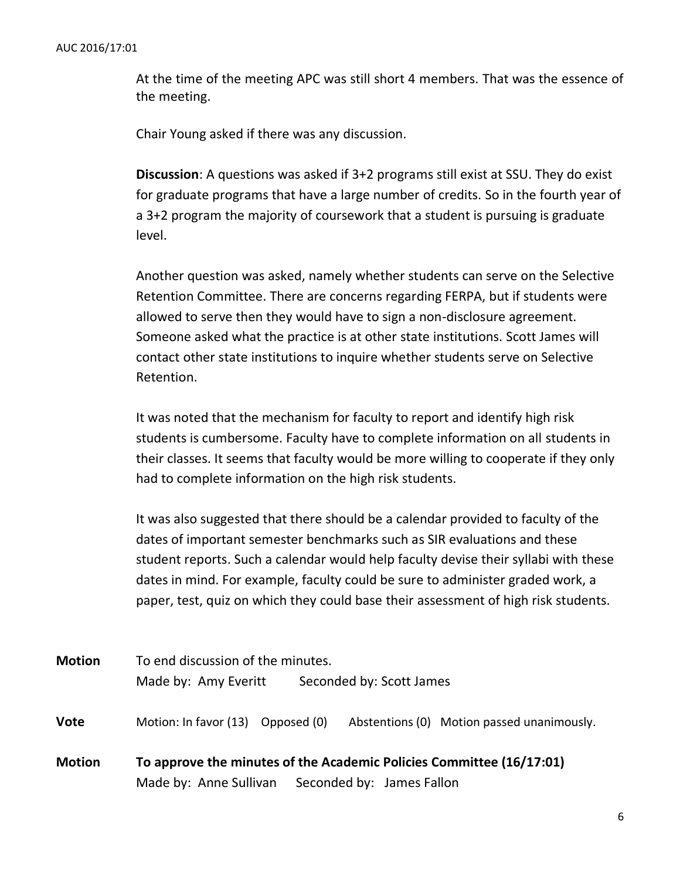At the time of the meeting APC was still short 4 members. That was the essence of the meeting.

Chair Young asked if there was any discussion.

**Discussion**: A questions was asked if 3+2 programs still exist at SSU. They do exist for graduate programs that have a large number of credits. So in the fourth year of a 3+2 program the majority of coursework that a student is pursuing is graduate level.

Another question was asked, namely whether students can serve on the Selective Retention Committee. There are concerns regarding FERPA, but if students were allowed to serve then they would have to sign a non-disclosure agreement. Someone asked what the practice is at other state institutions. Scott James will contact other state institutions to inquire whether students serve on Selective Retention.

It was noted that the mechanism for faculty to report and identify high risk students is cumbersome. Faculty have to complete information on all students in their classes. It seems that faculty would be more willing to cooperate if they only had to complete information on the high risk students.

It was also suggested that there should be a calendar provided to faculty of the dates of important semester benchmarks such as SIR evaluations and these student reports. Such a calendar would help faculty devise their syllabi with these dates in mind. For example, faculty could be sure to administer graded work, a paper, test, quiz on which they could base their assessment of high risk students.

| <b>Motion</b> | To end discussion of the minutes.<br>Made by: Amy Everitt<br>Seconded by: Scott James                                    |
|---------------|--------------------------------------------------------------------------------------------------------------------------|
| <b>Vote</b>   | Motion: In favor (13) Opposed (0)<br>Abstentions (0) Motion passed unanimously.                                          |
| <b>Motion</b> | To approve the minutes of the Academic Policies Committee (16/17:01)<br>Made by: Anne Sullivan Seconded by: James Fallon |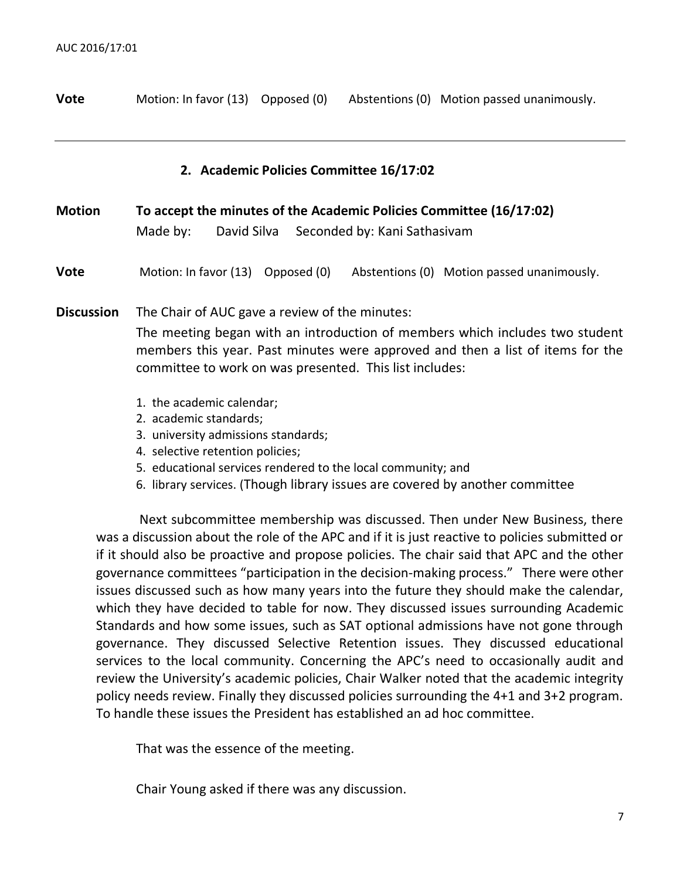| <b>Vote</b> | Motion: In favor (13) Opposed (0) |  |  | Abstentions (0) Motion passed unanimously. |
|-------------|-----------------------------------|--|--|--------------------------------------------|
|-------------|-----------------------------------|--|--|--------------------------------------------|

#### **2. Academic Policies Committee 16/17:02**

| <b>Motion</b>     | To accept the minutes of the Academic Policies Committee (16/17:02)                                                                                                                                                                                                         |  |  |
|-------------------|-----------------------------------------------------------------------------------------------------------------------------------------------------------------------------------------------------------------------------------------------------------------------------|--|--|
|                   | David Silva Seconded by: Kani Sathasivam<br>Made by:                                                                                                                                                                                                                        |  |  |
| <b>Vote</b>       | Motion: In favor (13) Opposed (0)<br>Abstentions (0) Motion passed unanimously.                                                                                                                                                                                             |  |  |
| <b>Discussion</b> | The Chair of AUC gave a review of the minutes:<br>The meeting began with an introduction of members which includes two student<br>members this year. Past minutes were approved and then a list of items for the<br>committee to work on was presented. This list includes: |  |  |
|                   | 1. the academic calendar;<br>Orange and a second and second are not only the second second and second are second and second a second and se                                                                                                                                 |  |  |

- 2. academic standards;
- 3. university admissions standards;
- 4. selective retention policies;
- 5. educational services rendered to the local community; and
- 6. library services. (Though library issues are covered by another committee

Next subcommittee membership was discussed. Then under New Business, there was a discussion about the role of the APC and if it is just reactive to policies submitted or if it should also be proactive and propose policies. The chair said that APC and the other governance committees "participation in the decision-making process." There were other issues discussed such as how many years into the future they should make the calendar, which they have decided to table for now. They discussed issues surrounding Academic Standards and how some issues, such as SAT optional admissions have not gone through governance. They discussed Selective Retention issues. They discussed educational services to the local community. Concerning the APC's need to occasionally audit and review the University's academic policies, Chair Walker noted that the academic integrity policy needs review. Finally they discussed policies surrounding the 4+1 and 3+2 program. To handle these issues the President has established an ad hoc committee.

That was the essence of the meeting.

Chair Young asked if there was any discussion.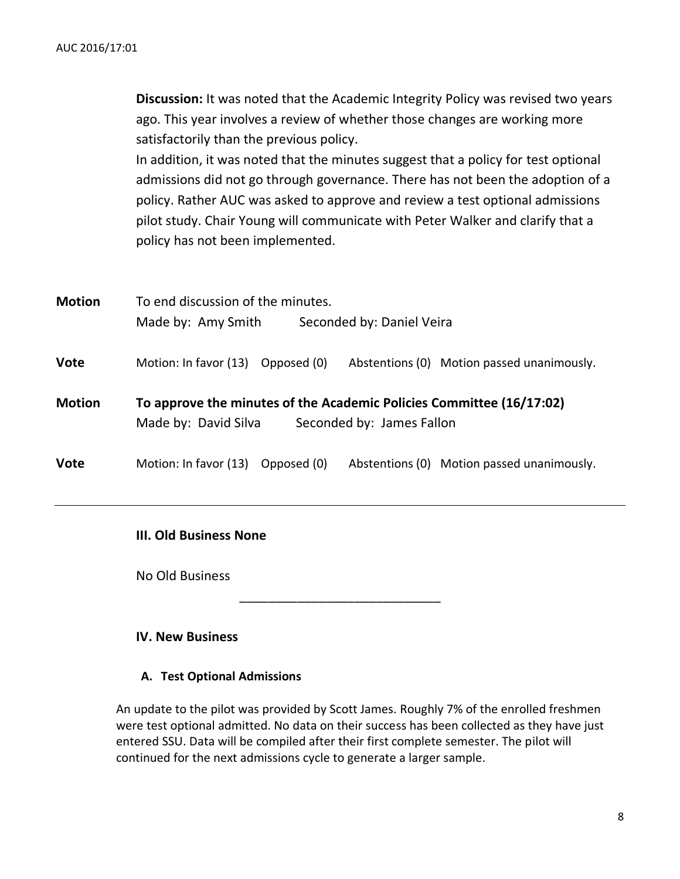|               | <b>Discussion:</b> It was noted that the Academic Integrity Policy was revised two years |
|---------------|------------------------------------------------------------------------------------------|
|               | ago. This year involves a review of whether those changes are working more               |
|               | satisfactorily than the previous policy.                                                 |
|               | In addition, it was noted that the minutes suggest that a policy for test optional       |
|               | admissions did not go through governance. There has not been the adoption of a           |
|               | policy. Rather AUC was asked to approve and review a test optional admissions            |
|               | pilot study. Chair Young will communicate with Peter Walker and clarify that a           |
|               | policy has not been implemented.                                                         |
|               |                                                                                          |
|               |                                                                                          |
| <b>Motion</b> | To end discussion of the minutes.                                                        |
|               | Made by: Amy Smith<br>Seconded by: Daniel Veira                                          |
|               |                                                                                          |
| <b>Vote</b>   | Motion: In favor (13) Opposed (0)<br>Abstentions (0) Motion passed unanimously.          |
|               |                                                                                          |
| <b>Motion</b> | To approve the minutes of the Academic Policies Committee (16/17:02)                     |
|               | Made by: David Silva<br>Seconded by: James Fallon                                        |
|               |                                                                                          |
| <b>Vote</b>   | Motion: In favor (13) Opposed (0)<br>Abstentions (0) Motion passed unanimously.          |
|               |                                                                                          |

### **III. Old Business None**

No Old Business

## **IV. New Business**

### **A. Test Optional Admissions**

An update to the pilot was provided by Scott James. Roughly 7% of the enrolled freshmen were test optional admitted. No data on their success has been collected as they have just entered SSU. Data will be compiled after their first complete semester. The pilot will continued for the next admissions cycle to generate a larger sample.

\_\_\_\_\_\_\_\_\_\_\_\_\_\_\_\_\_\_\_\_\_\_\_\_\_\_\_\_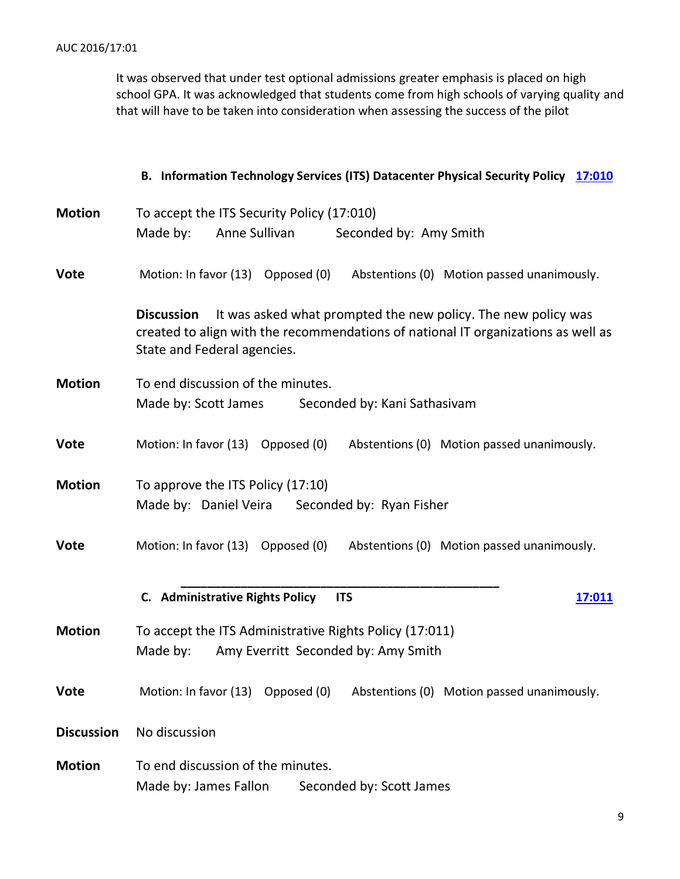It was observed that under test optional admissions greater emphasis is placed on high school GPA. It was acknowledged that students come from high schools of varying quality and that will have to be taken into consideration when assessing the success of the pilot

#### **B. Information Technology Services (ITS) Datacenter Physical Security Policy [17:010](https://www.salemstate.edu/6780.php?trackingNum=17:010&search=all)**

| <b>Motion</b>     | To accept the ITS Security Policy (17:010)                                                                                                                                                             |  |
|-------------------|--------------------------------------------------------------------------------------------------------------------------------------------------------------------------------------------------------|--|
|                   | Anne Sullivan<br>Made by:<br>Seconded by: Amy Smith                                                                                                                                                    |  |
| <b>Vote</b>       | Motion: In favor (13) Opposed (0) Abstentions (0) Motion passed unanimously.                                                                                                                           |  |
|                   | It was asked what prompted the new policy. The new policy was<br><b>Discussion</b><br>created to align with the recommendations of national IT organizations as well as<br>State and Federal agencies. |  |
| <b>Motion</b>     | To end discussion of the minutes.<br>Made by: Scott James<br>Seconded by: Kani Sathasivam                                                                                                              |  |
| <b>Vote</b>       | Motion: In favor (13) Opposed (0)<br>Abstentions (0) Motion passed unanimously.                                                                                                                        |  |
| <b>Motion</b>     | To approve the ITS Policy (17:10)<br>Made by: Daniel Veira<br>Seconded by: Ryan Fisher                                                                                                                 |  |
| <b>Vote</b>       | Motion: In favor (13) Opposed (0)<br>Abstentions (0) Motion passed unanimously.                                                                                                                        |  |
|                   | C. Administrative Rights Policy<br><b>ITS</b><br>17:011                                                                                                                                                |  |
| <b>Motion</b>     | To accept the ITS Administrative Rights Policy (17:011)<br>Amy Everritt Seconded by: Amy Smith<br>Made by:                                                                                             |  |
| <b>Vote</b>       | Motion: In favor (13) Opposed (0)<br>Abstentions (0) Motion passed unanimously.                                                                                                                        |  |
| <b>Discussion</b> | No discussion                                                                                                                                                                                          |  |
| <b>Motion</b>     | To end discussion of the minutes.<br>Made by: James Fallon<br>Seconded by: Scott James                                                                                                                 |  |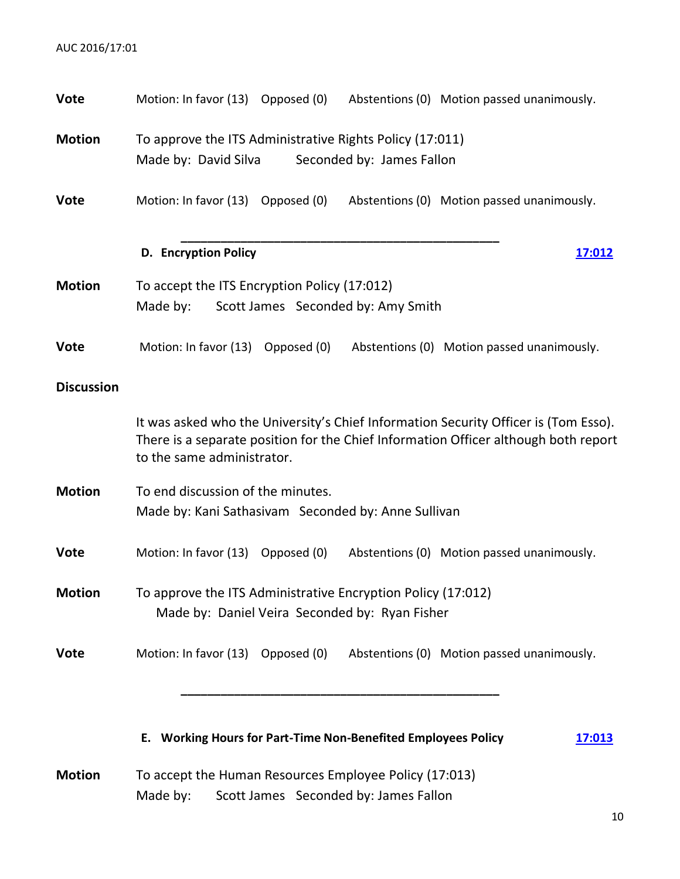| <b>Vote</b>       | Motion: In favor (13) Opposed (0)<br>Abstentions (0) Motion passed unanimously.                                                                                                                          |
|-------------------|----------------------------------------------------------------------------------------------------------------------------------------------------------------------------------------------------------|
| <b>Motion</b>     | To approve the ITS Administrative Rights Policy (17:011)<br>Made by: David Silva<br>Seconded by: James Fallon                                                                                            |
| <b>Vote</b>       | Motion: In favor (13) Opposed (0)<br>Abstentions (0) Motion passed unanimously.                                                                                                                          |
|                   | <b>D.</b> Encryption Policy<br>17:012                                                                                                                                                                    |
| <b>Motion</b>     | To accept the ITS Encryption Policy (17:012)<br>Made by:<br>Scott James Seconded by: Amy Smith                                                                                                           |
| <b>Vote</b>       | Motion: In favor (13) Opposed (0) Abstentions (0) Motion passed unanimously.                                                                                                                             |
| <b>Discussion</b> |                                                                                                                                                                                                          |
|                   | It was asked who the University's Chief Information Security Officer is (Tom Esso).<br>There is a separate position for the Chief Information Officer although both report<br>to the same administrator. |
| <b>Motion</b>     | To end discussion of the minutes.<br>Made by: Kani Sathasivam Seconded by: Anne Sullivan                                                                                                                 |
| <b>Vote</b>       | Motion: In favor (13) Opposed (0)<br>Abstentions (0) Motion passed unanimously.                                                                                                                          |
| <b>Motion</b>     | To approve the ITS Administrative Encryption Policy (17:012)<br>Made by: Daniel Veira Seconded by: Ryan Fisher                                                                                           |
| <b>Vote</b>       | Motion: In favor (13) Opposed (0)<br>Abstentions (0) Motion passed unanimously.                                                                                                                          |
|                   | E. Working Hours for Part-Time Non-Benefited Employees Policy<br>17:013                                                                                                                                  |
| <b>Motion</b>     | To accept the Human Resources Employee Policy (17:013)<br>Scott James Seconded by: James Fallon<br>Made by:                                                                                              |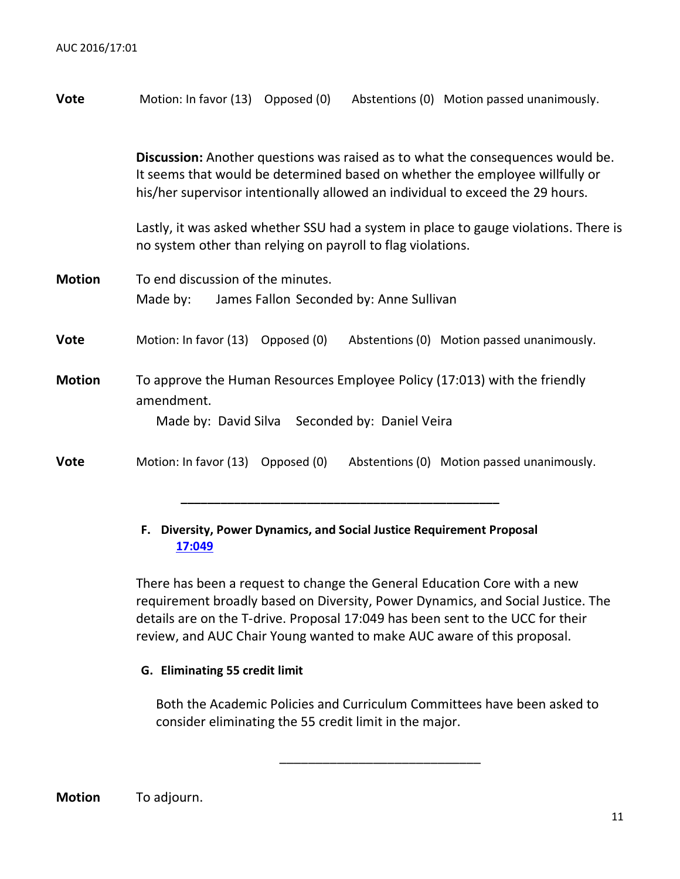| <b>Vote</b>   | Motion: In favor (13) Opposed (0)<br>Abstentions (0) Motion passed unanimously.                                                                                                                                                                         |
|---------------|---------------------------------------------------------------------------------------------------------------------------------------------------------------------------------------------------------------------------------------------------------|
|               | <b>Discussion:</b> Another questions was raised as to what the consequences would be.<br>It seems that would be determined based on whether the employee willfully or<br>his/her supervisor intentionally allowed an individual to exceed the 29 hours. |
|               | Lastly, it was asked whether SSU had a system in place to gauge violations. There is<br>no system other than relying on payroll to flag violations.                                                                                                     |
| <b>Motion</b> | To end discussion of the minutes.<br>Made by:<br>James Fallon Seconded by: Anne Sullivan                                                                                                                                                                |
| <b>Vote</b>   | Motion: In favor (13) Opposed (0)<br>Abstentions (0) Motion passed unanimously.                                                                                                                                                                         |
| <b>Motion</b> | To approve the Human Resources Employee Policy (17:013) with the friendly<br>amendment.<br>Made by: David Silva Seconded by: Daniel Veira                                                                                                               |
| <b>Vote</b>   | Motion: In favor (13) Opposed (0)<br>Abstentions (0) Motion passed unanimously.                                                                                                                                                                         |

#### **F. Diversity, Power Dynamics, and Social Justice Requirement Proposal [17:049](https://www.salemstate.edu/6780.php?trackingNum=17:049&search=all)**

**\_\_\_\_\_\_\_\_\_\_\_\_\_\_\_\_\_\_\_\_\_\_\_\_\_\_\_\_\_\_\_\_\_\_\_\_\_\_\_\_\_\_\_\_\_\_\_\_**

There has been a request to change the General Education Core with a new requirement broadly based on Diversity, Power Dynamics, and Social Justice. The details are on the T-drive. Proposal 17:049 has been sent to the UCC for their review, and AUC Chair Young wanted to make AUC aware of this proposal.

#### **G. Eliminating 55 credit limit**

Both the Academic Policies and Curriculum Committees have been asked to consider eliminating the 55 credit limit in the major.

\_\_\_\_\_\_\_\_\_\_\_\_\_\_\_\_\_\_\_\_\_\_\_\_\_\_\_\_

**Motion** To adjourn.